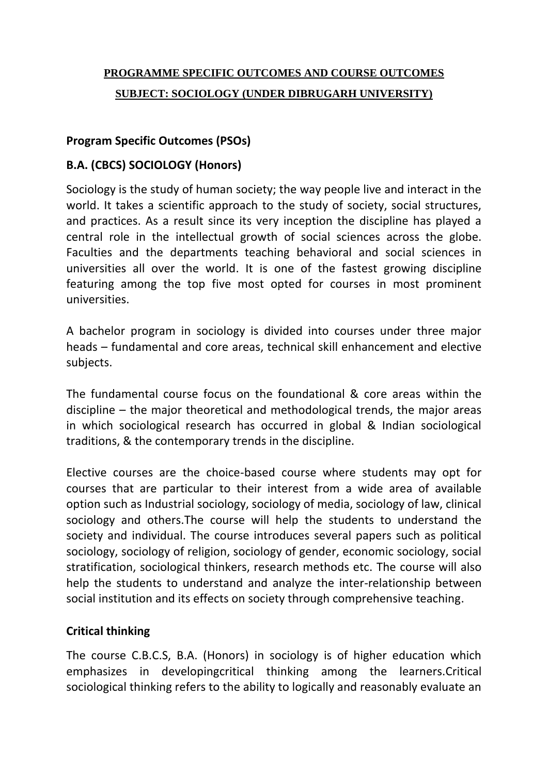# **PROGRAMME SPECIFIC OUTCOMES AND COURSE OUTCOMES SUBJECT: SOCIOLOGY (UNDER DIBRUGARH UNIVERSITY)**

## **Program Specific Outcomes (PSOs)**

## **B.A. (CBCS) SOCIOLOGY (Honors)**

Sociology is the study of human society; the way people live and interact in the world. It takes a scientific approach to the study of society, social structures, and practices. As a result since its very inception the discipline has played a central role in the intellectual growth of social sciences across the globe. Faculties and the departments teaching behavioral and social sciences in universities all over the world. It is one of the fastest growing discipline featuring among the top five most opted for courses in most prominent universities.

A bachelor program in sociology is divided into courses under three major heads – fundamental and core areas, technical skill enhancement and elective subjects.

The fundamental course focus on the foundational & core areas within the discipline – the major theoretical and methodological trends, the major areas in which sociological research has occurred in global & Indian sociological traditions, & the contemporary trends in the discipline.

Elective courses are the choice-based course where students may opt for courses that are particular to their interest from a wide area of available option such as Industrial sociology, sociology of media, sociology of law, clinical sociology and others.The course will help the students to understand the society and individual. The course introduces several papers such as political sociology, sociology of religion, sociology of gender, economic sociology, social stratification, sociological thinkers, research methods etc. The course will also help the students to understand and analyze the inter-relationship between social institution and its effects on society through comprehensive teaching.

### **Critical thinking**

The course C.B.C.S, B.A. (Honors) in sociology is of higher education which emphasizes in developingcritical thinking among the learners.Critical sociological thinking refers to the ability to logically and reasonably evaluate an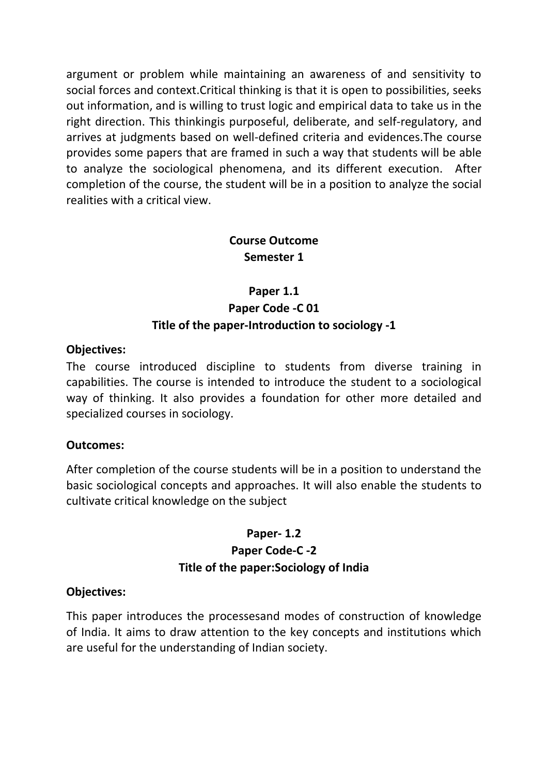argument or problem while maintaining an awareness of and sensitivity to social forces and context.Critical thinking is that it is open to possibilities, seeks out information, and is willing to trust logic and empirical data to take us in the right direction. This thinkingis purposeful, deliberate, and self-regulatory, and arrives at judgments based on well-defined criteria and evidences.The course provides some papers that are framed in such a way that students will be able to analyze the sociological phenomena, and its different execution. After completion of the course, the student will be in a position to analyze the social realities with a critical view.

# **Course Outcome Semester 1**

# **Paper 1.1 Paper Code -C 01 Title of the paper-Introduction to sociology -1**

### **Objectives:**

The course introduced discipline to students from diverse training in capabilities. The course is intended to introduce the student to a sociological way of thinking. It also provides a foundation for other more detailed and specialized courses in sociology.

#### **Outcomes:**

After completion of the course students will be in a position to understand the basic sociological concepts and approaches. It will also enable the students to cultivate critical knowledge on the subject

## **Paper- 1.2 Paper Code-C -2 Title of the paper:Sociology of India**

#### **Objectives:**

This paper introduces the processesand modes of construction of knowledge of India. It aims to draw attention to the key concepts and institutions which are useful for the understanding of Indian society.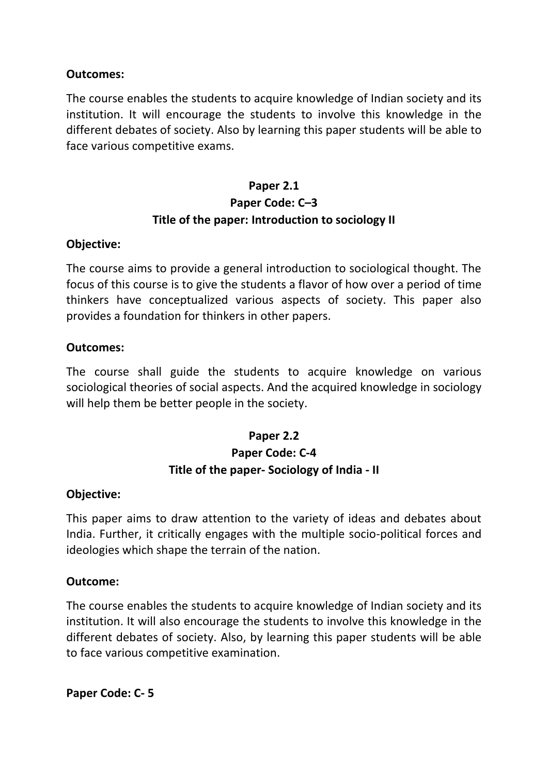The course enables the students to acquire knowledge of Indian society and its institution. It will encourage the students to involve this knowledge in the different debates of society. Also by learning this paper students will be able to face various competitive exams.

# **Paper 2.1 Paper Code: C–3 Title of the paper: Introduction to sociology II**

#### **Objective:**

The course aims to provide a general introduction to sociological thought. The focus of this course is to give the students a flavor of how over a period of time thinkers have conceptualized various aspects of society. This paper also provides a foundation for thinkers in other papers.

#### **Outcomes:**

The course shall guide the students to acquire knowledge on various sociological theories of social aspects. And the acquired knowledge in sociology will help them be better people in the society.

# **Paper 2.2 Paper Code: C-4 Title of the paper- Sociology of India - II**

#### **Objective:**

This paper aims to draw attention to the variety of ideas and debates about India. Further, it critically engages with the multiple socio-political forces and ideologies which shape the terrain of the nation.

#### **Outcome:**

The course enables the students to acquire knowledge of Indian society and its institution. It will also encourage the students to involve this knowledge in the different debates of society. Also, by learning this paper students will be able to face various competitive examination.

**Paper Code: C- 5**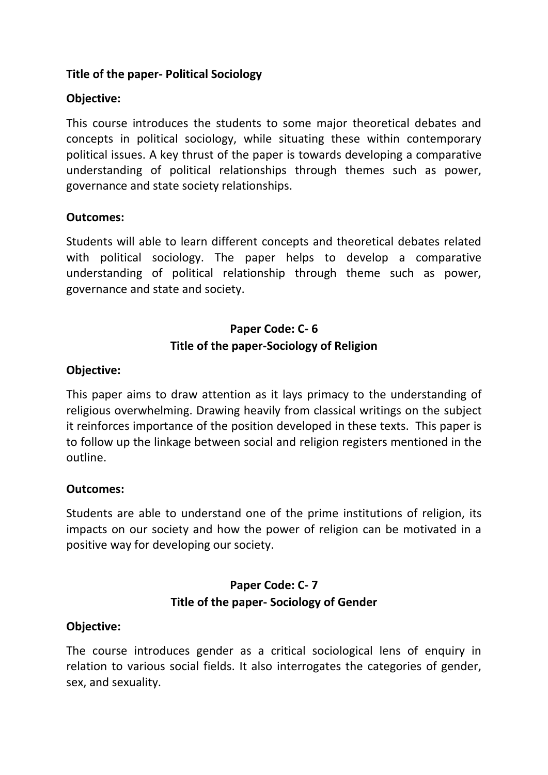### **Title of the paper- Political Sociology**

### **Objective:**

This course introduces the students to some major theoretical debates and concepts in political sociology, while situating these within contemporary political issues. A key thrust of the paper is towards developing a comparative understanding of political relationships through themes such as power, governance and state society relationships.

### **Outcomes:**

Students will able to learn different concepts and theoretical debates related with political sociology. The paper helps to develop a comparative understanding of political relationship through theme such as power, governance and state and society.

## **Paper Code: C- 6 Title of the paper-Sociology of Religion**

#### **Objective:**

This paper aims to draw attention as it lays primacy to the understanding of religious overwhelming. Drawing heavily from classical writings on the subject it reinforces importance of the position developed in these texts. This paper is to follow up the linkage between social and religion registers mentioned in the outline.

#### **Outcomes:**

Students are able to understand one of the prime institutions of religion, its impacts on our society and how the power of religion can be motivated in a positive way for developing our society.

### **Paper Code: C- 7 Title of the paper- Sociology of Gender**

#### **Objective:**

The course introduces gender as a critical sociological lens of enquiry in relation to various social fields. It also interrogates the categories of gender, sex, and sexuality.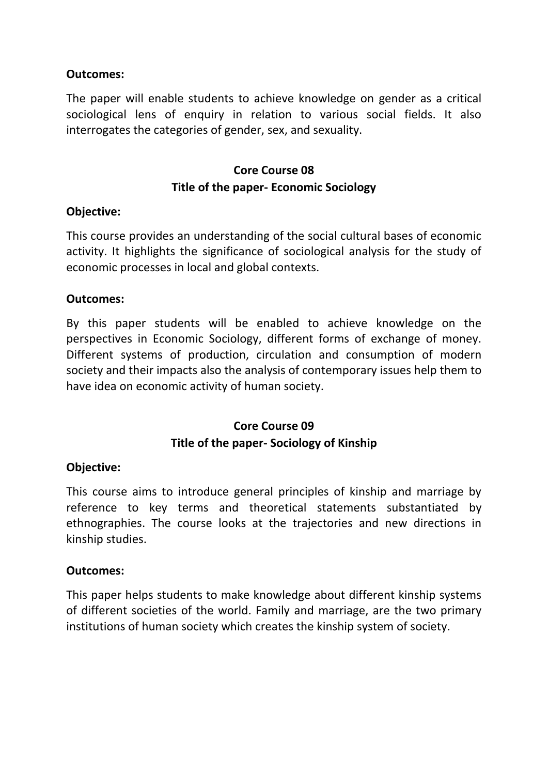The paper will enable students to achieve knowledge on gender as a critical sociological lens of enquiry in relation to various social fields. It also interrogates the categories of gender, sex, and sexuality.

## **Core Course 08 Title of the paper- Economic Sociology**

#### **Objective:**

This course provides an understanding of the social cultural bases of economic activity. It highlights the significance of sociological analysis for the study of economic processes in local and global contexts.

#### **Outcomes:**

By this paper students will be enabled to achieve knowledge on the perspectives in Economic Sociology, different forms of exchange of money. Different systems of production, circulation and consumption of modern society and their impacts also the analysis of contemporary issues help them to have idea on economic activity of human society.

## **Core Course 09 Title of the paper- Sociology of Kinship**

#### **Objective:**

This course aims to introduce general principles of kinship and marriage by reference to key terms and theoretical statements substantiated by ethnographies. The course looks at the trajectories and new directions in kinship studies.

#### **Outcomes:**

This paper helps students to make knowledge about different kinship systems of different societies of the world. Family and marriage, are the two primary institutions of human society which creates the kinship system of society.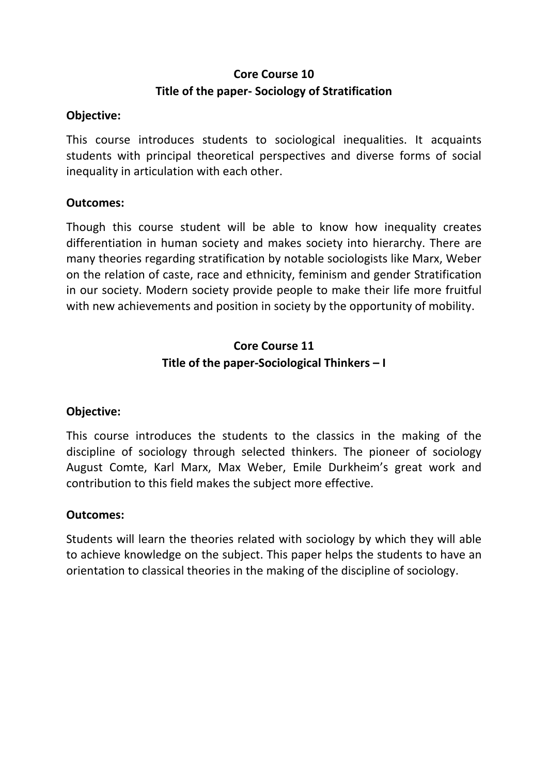## **Core Course 10 Title of the paper- Sociology of Stratification**

### **Objective:**

This course introduces students to sociological inequalities. It acquaints students with principal theoretical perspectives and diverse forms of social inequality in articulation with each other.

### **Outcomes:**

Though this course student will be able to know how inequality creates differentiation in human society and makes society into hierarchy. There are many theories regarding stratification by notable sociologists like Marx, Weber on the relation of caste, race and ethnicity, feminism and gender Stratification in our society. Modern society provide people to make their life more fruitful with new achievements and position in society by the opportunity of mobility.

## **Core Course 11 Title of the paper-Sociological Thinkers – I**

## **Objective:**

This course introduces the students to the classics in the making of the discipline of sociology through selected thinkers. The pioneer of sociology August Comte, Karl Marx, Max Weber, Emile Durkheim's great work and contribution to this field makes the subject more effective.

### **Outcomes:**

Students will learn the theories related with sociology by which they will able to achieve knowledge on the subject. This paper helps the students to have an orientation to classical theories in the making of the discipline of sociology.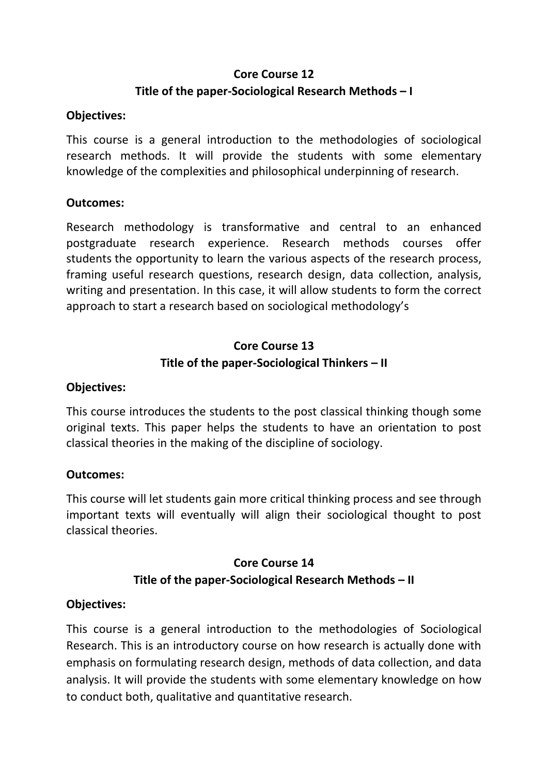## **Core Course 12 Title of the paper-Sociological Research Methods – I**

### **Objectives:**

This course is a general introduction to the methodologies of sociological research methods. It will provide the students with some elementary knowledge of the complexities and philosophical underpinning of research.

#### **Outcomes:**

Research methodology is transformative and central to an enhanced postgraduate research experience. Research methods courses offer students the opportunity to learn the various aspects of the research process, framing useful research questions, research design, data collection, analysis, writing and presentation. In this case, it will allow students to form the correct approach to start a research based on sociological methodology's

## **Core Course 13 Title of the paper-Sociological Thinkers – II**

#### **Objectives:**

This course introduces the students to the post classical thinking though some original texts. This paper helps the students to have an orientation to post classical theories in the making of the discipline of sociology.

### **Outcomes:**

This course will let students gain more critical thinking process and see through important texts will eventually will align their sociological thought to post classical theories.

## **Core Course 14 Title of the paper-Sociological Research Methods – II**

#### **Objectives:**

This course is a general introduction to the methodologies of Sociological Research. This is an introductory course on how research is actually done with emphasis on formulating research design, methods of data collection, and data analysis. It will provide the students with some elementary knowledge on how to conduct both, qualitative and quantitative research.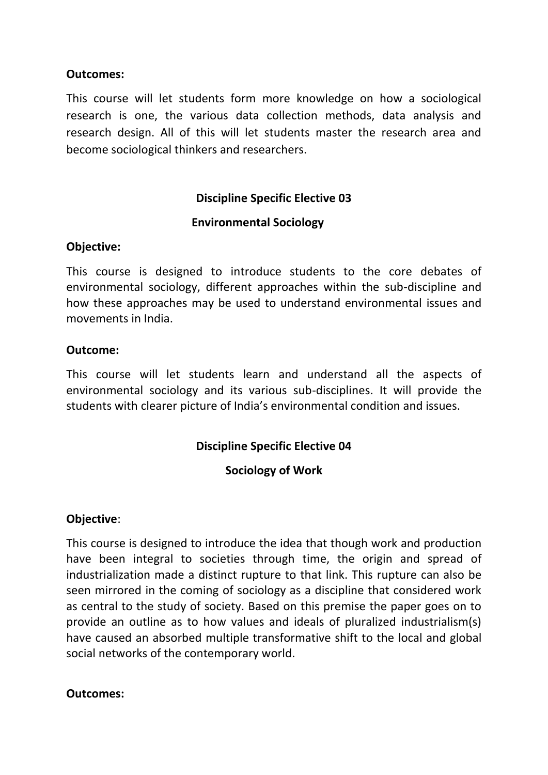This course will let students form more knowledge on how a sociological research is one, the various data collection methods, data analysis and research design. All of this will let students master the research area and become sociological thinkers and researchers.

### **Discipline Specific Elective 03**

### **Environmental Sociology**

#### **Objective:**

This course is designed to introduce students to the core debates of environmental sociology, different approaches within the sub-discipline and how these approaches may be used to understand environmental issues and movements in India.

#### **Outcome:**

This course will let students learn and understand all the aspects of environmental sociology and its various sub-disciplines. It will provide the students with clearer picture of India's environmental condition and issues.

### **Discipline Specific Elective 04**

### **Sociology of Work**

### **Objective**:

This course is designed to introduce the idea that though work and production have been integral to societies through time, the origin and spread of industrialization made a distinct rupture to that link. This rupture can also be seen mirrored in the coming of sociology as a discipline that considered work as central to the study of society. Based on this premise the paper goes on to provide an outline as to how values and ideals of pluralized industrialism(s) have caused an absorbed multiple transformative shift to the local and global social networks of the contemporary world.

#### **Outcomes:**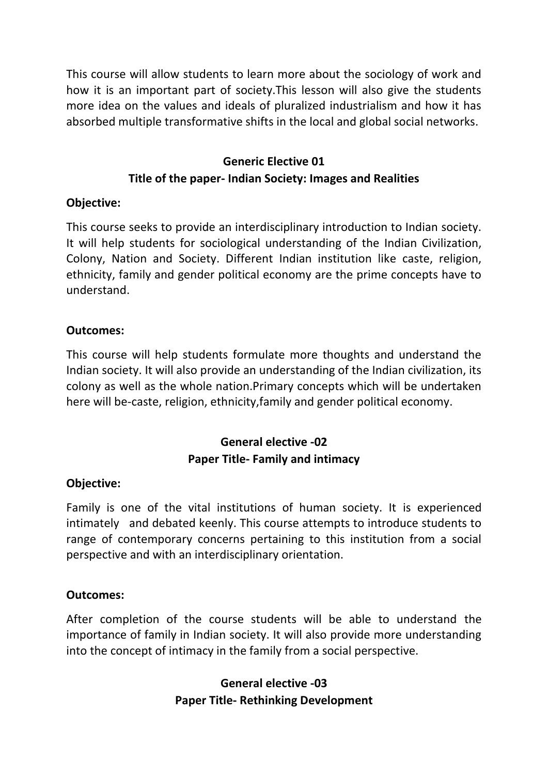This course will allow students to learn more about the sociology of work and how it is an important part of society.This lesson will also give the students more idea on the values and ideals of pluralized industrialism and how it has absorbed multiple transformative shifts in the local and global social networks.

# **Generic Elective 01 Title of the paper- Indian Society: Images and Realities**

### **Objective:**

This course seeks to provide an interdisciplinary introduction to Indian society. It will help students for sociological understanding of the Indian Civilization, Colony, Nation and Society. Different Indian institution like caste, religion, ethnicity, family and gender political economy are the prime concepts have to understand.

### **Outcomes:**

This course will help students formulate more thoughts and understand the Indian society. It will also provide an understanding of the Indian civilization, its colony as well as the whole nation.Primary concepts which will be undertaken here will be-caste, religion, ethnicity,family and gender political economy.

## **General elective -02 Paper Title- Family and intimacy**

### **Objective:**

Family is one of the vital institutions of human society. It is experienced intimately and debated keenly. This course attempts to introduce students to range of contemporary concerns pertaining to this institution from a social perspective and with an interdisciplinary orientation.

### **Outcomes:**

After completion of the course students will be able to understand the importance of family in Indian society. It will also provide more understanding into the concept of intimacy in the family from a social perspective.

## **General elective -03 Paper Title- Rethinking Development**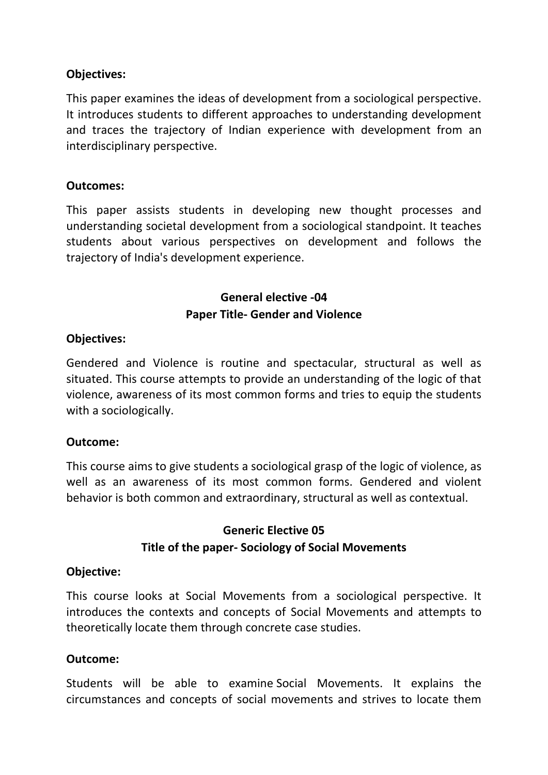### **Objectives:**

This paper examines the ideas of development from a sociological perspective. It introduces students to different approaches to understanding development and traces the trajectory of Indian experience with development from an interdisciplinary perspective.

### **Outcomes:**

This paper assists students in developing new thought processes and understanding societal development from a sociological standpoint. It teaches students about various perspectives on development and follows the trajectory of India's development experience.

# **General elective -04 Paper Title- Gender and Violence**

### **Objectives:**

Gendered and Violence is routine and spectacular, structural as well as situated. This course attempts to provide an understanding of the logic of that violence, awareness of its most common forms and tries to equip the students with a sociologically.

### **Outcome:**

This course aims to give students a sociological grasp of the logic of violence, as well as an awareness of its most common forms. Gendered and violent behavior is both common and extraordinary, structural as well as contextual.

## **Generic Elective 05 Title of the paper- Sociology of Social Movements**

### **Objective:**

This course looks at Social Movements from a sociological perspective. It introduces the contexts and concepts of Social Movements and attempts to theoretically locate them through concrete case studies.

### **Outcome:**

Students will be able to examine Social Movements. It explains the circumstances and concepts of social movements and strives to locate them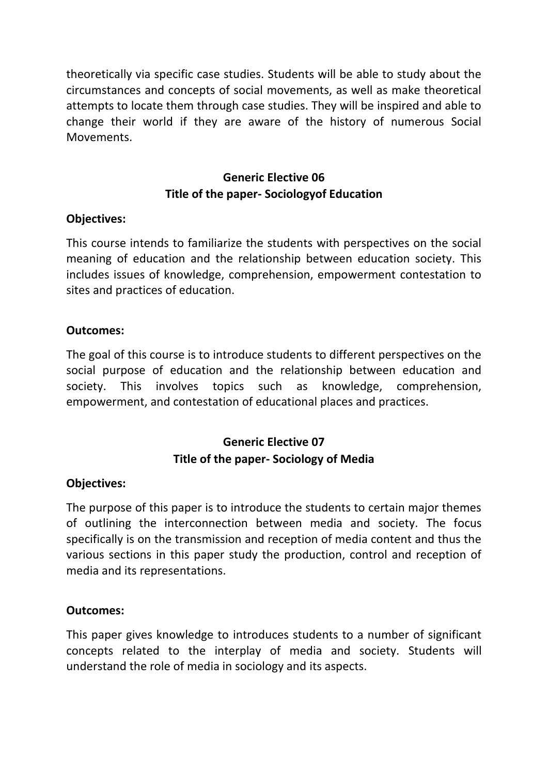theoretically via specific case studies. Students will be able to study about the circumstances and concepts of social movements, as well as make theoretical attempts to locate them through case studies. They will be inspired and able to change their world if they are aware of the history of numerous Social Movements.

## **Generic Elective 06 Title of the paper- Sociologyof Education**

### **Objectives:**

This course intends to familiarize the students with perspectives on the social meaning of education and the relationship between education society. This includes issues of knowledge, comprehension, empowerment contestation to sites and practices of education.

### **Outcomes:**

The goal of this course is to introduce students to different perspectives on the social purpose of education and the relationship between education and society. This involves topics such as knowledge, comprehension, empowerment, and contestation of educational places and practices.

## **Generic Elective 07 Title of the paper- Sociology of Media**

### **Objectives:**

The purpose of this paper is to introduce the students to certain major themes of outlining the interconnection between media and society. The focus specifically is on the transmission and reception of media content and thus the various sections in this paper study the production, control and reception of media and its representations.

### **Outcomes:**

This paper gives knowledge to introduces students to a number of significant concepts related to the interplay of media and society. Students will understand the role of media in sociology and its aspects.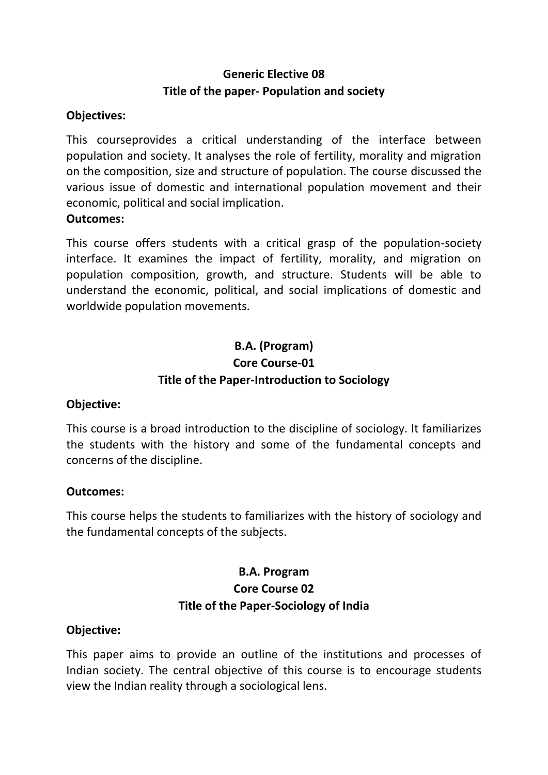### **Generic Elective 08 Title of the paper- Population and society**

### **Objectives:**

This courseprovides a critical understanding of the interface between population and society. It analyses the role of fertility, morality and migration on the composition, size and structure of population. The course discussed the various issue of domestic and international population movement and their economic, political and social implication.

#### **Outcomes:**

This course offers students with a critical grasp of the population-society interface. It examines the impact of fertility, morality, and migration on population composition, growth, and structure. Students will be able to understand the economic, political, and social implications of domestic and worldwide population movements.

# **B.A. (Program) Core Course-01 Title of the Paper-Introduction to Sociology**

### **Objective:**

This course is a broad introduction to the discipline of sociology. It familiarizes the students with the history and some of the fundamental concepts and concerns of the discipline.

#### **Outcomes:**

This course helps the students to familiarizes with the history of sociology and the fundamental concepts of the subjects.

# **B.A. Program Core Course 02 Title of the Paper-Sociology of India**

#### **Objective:**

This paper aims to provide an outline of the institutions and processes of Indian society. The central objective of this course is to encourage students view the Indian reality through a sociological lens.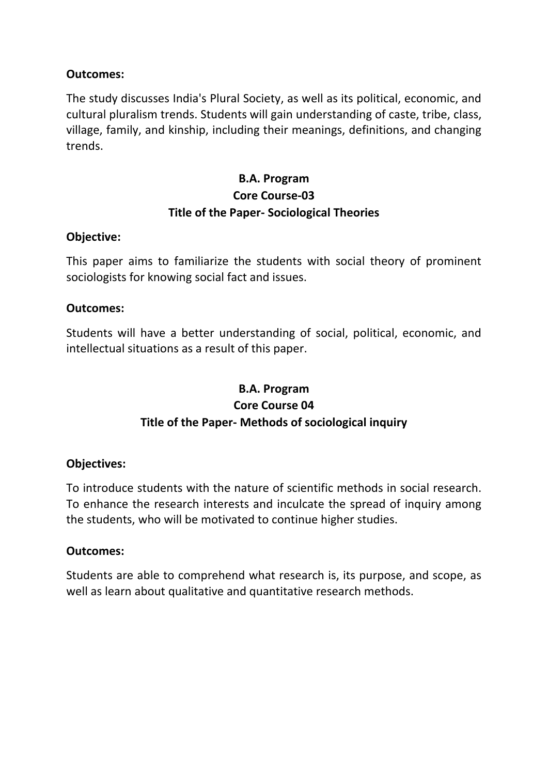The study discusses India's Plural Society, as well as its political, economic, and cultural pluralism trends. Students will gain understanding of caste, tribe, class, village, family, and kinship, including their meanings, definitions, and changing trends.

## **B.A. Program Core Course-03 Title of the Paper- Sociological Theories**

#### **Objective:**

This paper aims to familiarize the students with social theory of prominent sociologists for knowing social fact and issues.

#### **Outcomes:**

Students will have a better understanding of social, political, economic, and intellectual situations as a result of this paper.

## **B.A. Program Core Course 04 Title of the Paper- Methods of sociological inquiry**

### **Objectives:**

To introduce students with the nature of scientific methods in social research. To enhance the research interests and inculcate the spread of inquiry among the students, who will be motivated to continue higher studies.

#### **Outcomes:**

Students are able to comprehend what research is, its purpose, and scope, as well as learn about qualitative and quantitative research methods.